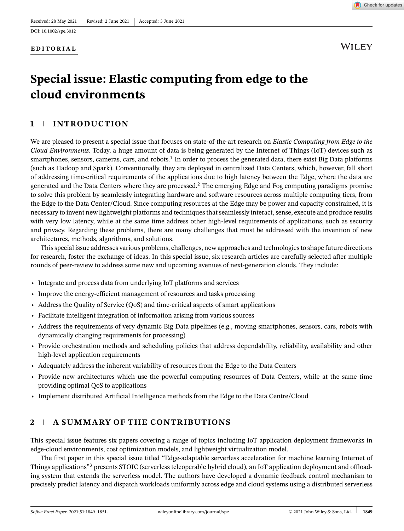

**WILEY** 

# **Special issue: Elastic computing from edge to the cloud environments**

# **1 INTRODUCTION**

We are pleased to present a special issue that focuses on state-of-the-art research on *Elastic Computing from Edge to the Cloud Environments*. Today, a huge amount of data is being generated by the Internet of Things (IoT) devices such as smartphones, sensors, cameras, cars, and robots.<sup>1</sup> In order to process the generated data, there exist Big Data platforms (such as Hadoop and Spark). Conventionally, they are deployed in centralized Data Centers, which, however, fall short of addressing time-critical requirements of the applications due to high latency between the Edge, where the data are generated and the Data Centers where they are processed.2 The emerging Edge and Fog computing paradigms promise to solve this problem by seamlessly integrating hardware and software resources across multiple computing tiers, from the Edge to the Data Center/Cloud. Since computing resources at the Edge may be power and capacity constrained, it is necessary to invent new lightweight platforms and techniques that seamlessly interact, sense, execute and produce results with very low latency, while at the same time address other high-level requirements of applications, such as security and privacy. Regarding these problems, there are many challenges that must be addressed with the invention of new architectures, methods, algorithms, and solutions.

This special issue addresses various problems, challenges, new approaches and technologies to shape future directions for research, foster the exchange of ideas. In this special issue, six research articles are carefully selected after multiple rounds of peer-review to address some new and upcoming avenues of next-generation clouds. They include:

- **•** Integrate and process data from underlying IoT platforms and services
- **•** Improve the energy-efficient management of resources and tasks processing
- **•** Address the Quality of Service (QoS) and time-critical aspects of smart applications
- **•** Facilitate intelligent integration of information arising from various sources
- **•** Address the requirements of very dynamic Big Data pipelines (e.g., moving smartphones, sensors, cars, robots with dynamically changing requirements for processing)
- **•** Provide orchestration methods and scheduling policies that address dependability, reliability, availability and other high-level application requirements
- **•** Adequately address the inherent variability of resources from the Edge to the Data Centers
- **•** Provide new architectures which use the powerful computing resources of Data Centers, while at the same time providing optimal QoS to applications
- **•** Implement distributed Artificial Intelligence methods from the Edge to the Data Centre/Cloud

# **2 A SUMMARY OF THE CONTRIBUTIONS**

This special issue features six papers covering a range of topics including IoT application deployment frameworks in edge-cloud environments, cost optimization models, and lightweight virtualization model.

The first paper in this special issue titled "Edge-adaptable serverless acceleration for machine learning Internet of Things applications"3 presents STOIC (serverless teleoperable hybrid cloud), an IoT application deployment and offloading system that extends the serverless model. The authors have developed a dynamic feedback control mechanism to precisely predict latency and dispatch workloads uniformly across edge and cloud systems using a distributed serverless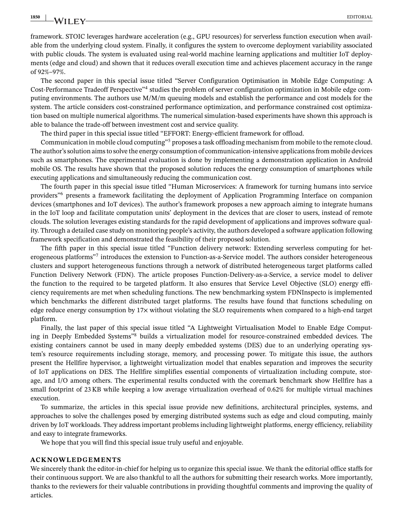**1850** EDITORIAL

framework. STOIC leverages hardware acceleration (e.g., GPU resources) for serverless function execution when available from the underlying cloud system. Finally, it configures the system to overcome deployment variability associated with public clouds. The system is evaluated using real-world machine learning applications and multitier IoT deployments (edge and cloud) and shown that it reduces overall execution time and achieves placement accuracy in the range of 92%–97%.

The second paper in this special issue titled "Server Configuration Optimisation in Mobile Edge Computing: A Cost-Performance Tradeoff Perspective"4 studies the problem of server configuration optimization in Mobile edge computing environments. The authors use M/M/m queuing models and establish the performance and cost models for the system. The article considers cost-constrained performance optimization, and performance constrained cost optimization based on multiple numerical algorithms. The numerical simulation-based experiments have shown this approach is able to balance the trade-off between investment cost and service quality.

The third paper in this special issue titled "EFFORT: Energy-efficient framework for offload.

Communication in mobile cloud computing"<sup>5</sup> proposes a task offloading mechanism from mobile to the remote cloud. The author's solution aims to solve the energy consumption of communication-intensive applications from mobile devices such as smartphones. The experimental evaluation is done by implementing a demonstration application in Android mobile OS. The results have shown that the proposed solution reduces the energy consumption of smartphones while executing applications and simultaneously reducing the communication cost.

The fourth paper in this special issue titled "Human Microservices: A framework for turning humans into service providers"6 presents a framework facilitating the deployment of Application Programming Interface on companion devices (smartphones and IoT devices). The author's framework proposes a new approach aiming to integrate humans in the IoT loop and facilitate computation units' deployment in the devices that are closer to users, instead of remote clouds. The solution leverages existing standards for the rapid development of applications and improves software quality. Through a detailed case study on monitoring people's activity, the authors developed a software application following framework specification and demonstrated the feasibility of their proposed solution.

The fifth paper in this special issue titled "Function delivery network: Extending serverless computing for heterogeneous platforms"7 introduces the extension to Function-as-a-Service model. The authors consider heterogeneous clusters and support heterogeneous functions through a network of distributed heterogeneous target platforms called Function Delivery Network (FDN). The article proposes Function-Delivery-as-a-Service, a service model to deliver the function to the required to be targeted platform. It also ensures that Service Level Objective (SLO) energy efficiency requirements are met when scheduling functions. The new benchmarking system FDNInspecto is implemented which benchmarks the different distributed target platforms. The results have found that functions scheduling on edge reduce energy consumption by 17× without violating the SLO requirements when compared to a high-end target platform.

Finally, the last paper of this special issue titled "A Lightweight Virtualisation Model to Enable Edge Computing in Deeply Embedded Systems"8 builds a virtualization model for resource-constrained embedded devices. The existing containers cannot be used in many deeply embedded systems (DES) due to an underlying operating system's resource requirements including storage, memory, and processing power. To mitigate this issue, the authors present the Hellfire hypervisor, a lightweight virtualization model that enables separation and improves the security of IoT applications on DES. The Hellfire simplifies essential components of virtualization including compute, storage, and I/O among others. The experimental results conducted with the coremark benchmark show Hellfire has a small footprint of 23 KB while keeping a low average virtualization overhead of 0.62% for multiple virtual machines execution.

To summarize, the articles in this special issue provide new definitions, architectural principles, systems, and approaches to solve the challenges posed by emerging distributed systems such as edge and cloud computing, mainly driven by IoT workloads. They address important problems including lightweight platforms, energy efficiency, reliability and easy to integrate frameworks.

We hope that you will find this special issue truly useful and enjoyable.

#### **ACKNOWLEDGEMENTS**

We sincerely thank the editor-in-chief for helping us to organize this special issue. We thank the editorial office staffs for their continuous support. We are also thankful to all the authors for submitting their research works. More importantly, thanks to the reviewers for their valuable contributions in providing thoughtful comments and improving the quality of articles.